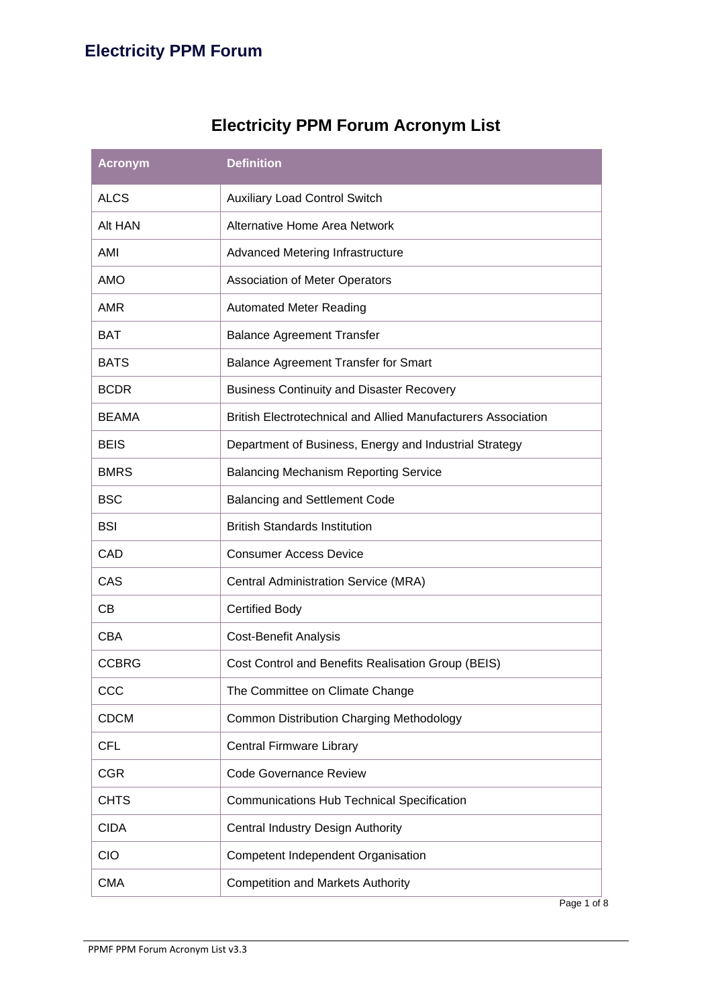## **Electricity PPM Forum Acronym List**

| <b>Acronym</b> | <b>Definition</b>                                             |
|----------------|---------------------------------------------------------------|
| <b>ALCS</b>    | <b>Auxiliary Load Control Switch</b>                          |
| Alt HAN        | Alternative Home Area Network                                 |
| AMI            | Advanced Metering Infrastructure                              |
| <b>AMO</b>     | Association of Meter Operators                                |
| <b>AMR</b>     | <b>Automated Meter Reading</b>                                |
| <b>BAT</b>     | <b>Balance Agreement Transfer</b>                             |
| <b>BATS</b>    | <b>Balance Agreement Transfer for Smart</b>                   |
| <b>BCDR</b>    | <b>Business Continuity and Disaster Recovery</b>              |
| <b>BEAMA</b>   | British Electrotechnical and Allied Manufacturers Association |
| <b>BEIS</b>    | Department of Business, Energy and Industrial Strategy        |
| <b>BMRS</b>    | <b>Balancing Mechanism Reporting Service</b>                  |
| <b>BSC</b>     | <b>Balancing and Settlement Code</b>                          |
| <b>BSI</b>     | <b>British Standards Institution</b>                          |
| CAD            | <b>Consumer Access Device</b>                                 |
| CAS            | <b>Central Administration Service (MRA)</b>                   |
| <b>CB</b>      | <b>Certified Body</b>                                         |
| <b>CBA</b>     | <b>Cost-Benefit Analysis</b>                                  |
| <b>CCBRG</b>   | Cost Control and Benefits Realisation Group (BEIS)            |
| CCC            | The Committee on Climate Change                               |
| <b>CDCM</b>    | <b>Common Distribution Charging Methodology</b>               |
| <b>CFL</b>     | <b>Central Firmware Library</b>                               |
| <b>CGR</b>     | <b>Code Governance Review</b>                                 |
| <b>CHTS</b>    | <b>Communications Hub Technical Specification</b>             |
| <b>CIDA</b>    | Central Industry Design Authority                             |
| <b>CIO</b>     | Competent Independent Organisation                            |
| <b>CMA</b>     | <b>Competition and Markets Authority</b>                      |

Page 1 of 8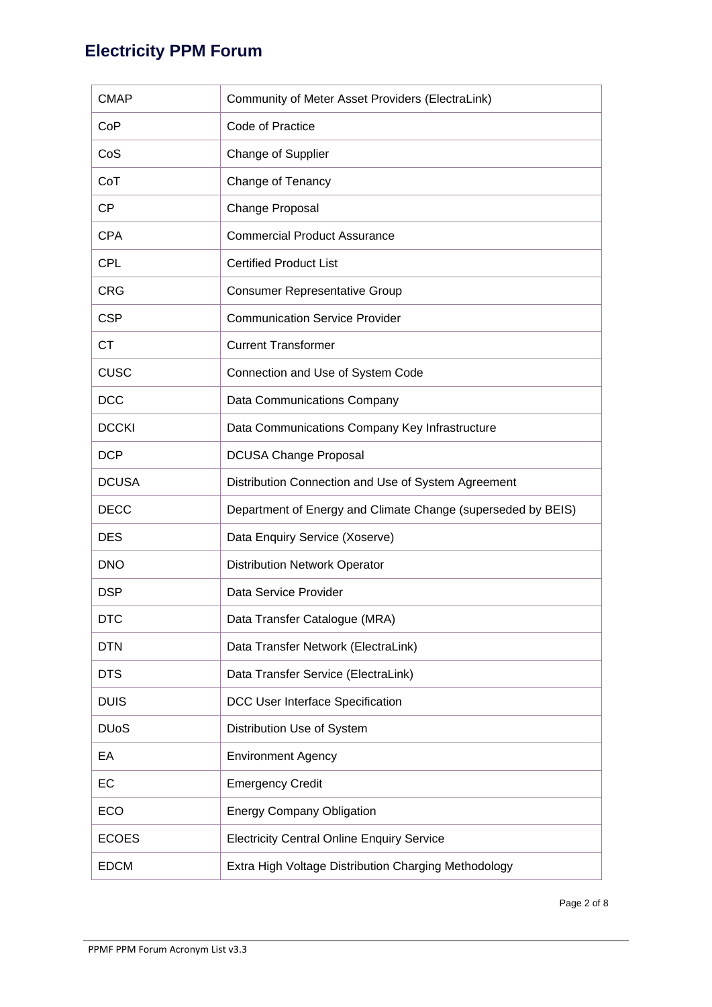| <b>CMAP</b>            | Community of Meter Asset Providers (ElectraLink)             |
|------------------------|--------------------------------------------------------------|
| CoP                    | Code of Practice                                             |
| CoS                    | Change of Supplier                                           |
| CoT                    | Change of Tenancy                                            |
| <b>CP</b>              | Change Proposal                                              |
| <b>CPA</b>             | <b>Commercial Product Assurance</b>                          |
| <b>CPL</b>             | <b>Certified Product List</b>                                |
| <b>CRG</b>             | <b>Consumer Representative Group</b>                         |
| <b>CSP</b>             | <b>Communication Service Provider</b>                        |
| <b>CT</b>              | <b>Current Transformer</b>                                   |
| <b>CUSC</b>            | Connection and Use of System Code                            |
| <b>DCC</b>             | Data Communications Company                                  |
| <b>DCCKI</b>           | Data Communications Company Key Infrastructure               |
| <b>DCP</b>             | <b>DCUSA Change Proposal</b>                                 |
| <b>DCUSA</b>           | Distribution Connection and Use of System Agreement          |
| <b>DECC</b>            | Department of Energy and Climate Change (superseded by BEIS) |
| <b>DES</b>             | Data Enquiry Service (Xoserve)                               |
| <b>DNO</b>             | <b>Distribution Network Operator</b>                         |
| <b>DSP</b>             | Data Service Provider                                        |
| DTC                    | Data Transfer Catalogue (MRA)                                |
| <b>DTN</b>             | Data Transfer Network (ElectraLink)                          |
| <b>DTS</b>             | Data Transfer Service (ElectraLink)                          |
| <b>DUIS</b>            | DCC User Interface Specification                             |
| <b>DU<sub>o</sub>S</b> | Distribution Use of System                                   |
| EA                     | <b>Environment Agency</b>                                    |
| EC                     | <b>Emergency Credit</b>                                      |
| ECO                    | <b>Energy Company Obligation</b>                             |
| <b>ECOES</b>           | <b>Electricity Central Online Enquiry Service</b>            |
| <b>EDCM</b>            | Extra High Voltage Distribution Charging Methodology         |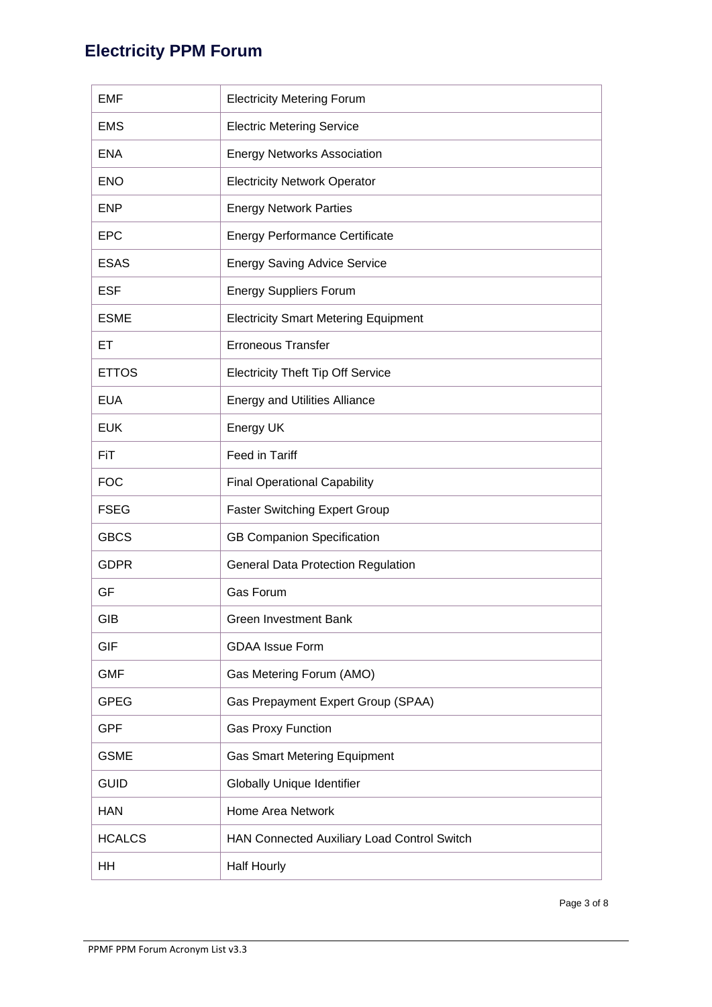| <b>EMF</b>    | <b>Electricity Metering Forum</b>           |
|---------------|---------------------------------------------|
| <b>EMS</b>    | <b>Electric Metering Service</b>            |
| <b>ENA</b>    | <b>Energy Networks Association</b>          |
| <b>ENO</b>    | <b>Electricity Network Operator</b>         |
| <b>ENP</b>    | <b>Energy Network Parties</b>               |
| <b>EPC</b>    | <b>Energy Performance Certificate</b>       |
| <b>ESAS</b>   | <b>Energy Saving Advice Service</b>         |
| <b>ESF</b>    | <b>Energy Suppliers Forum</b>               |
| <b>ESME</b>   | <b>Electricity Smart Metering Equipment</b> |
| ЕT            | <b>Erroneous Transfer</b>                   |
| <b>ETTOS</b>  | <b>Electricity Theft Tip Off Service</b>    |
| <b>EUA</b>    | <b>Energy and Utilities Alliance</b>        |
| <b>EUK</b>    | Energy UK                                   |
| <b>FiT</b>    | Feed in Tariff                              |
| <b>FOC</b>    | <b>Final Operational Capability</b>         |
| <b>FSEG</b>   | <b>Faster Switching Expert Group</b>        |
| <b>GBCS</b>   | <b>GB Companion Specification</b>           |
| <b>GDPR</b>   | <b>General Data Protection Regulation</b>   |
| GF            | Gas Forum                                   |
| GIB           | <b>Green Investment Bank</b>                |
| GIF           | <b>GDAA Issue Form</b>                      |
| <b>GMF</b>    | Gas Metering Forum (AMO)                    |
| <b>GPEG</b>   | Gas Prepayment Expert Group (SPAA)          |
| <b>GPF</b>    | Gas Proxy Function                          |
| <b>GSME</b>   | <b>Gas Smart Metering Equipment</b>         |
| <b>GUID</b>   | <b>Globally Unique Identifier</b>           |
| <b>HAN</b>    | <b>Home Area Network</b>                    |
| <b>HCALCS</b> | HAN Connected Auxiliary Load Control Switch |
| HH            | <b>Half Hourly</b>                          |

Page 3 of 8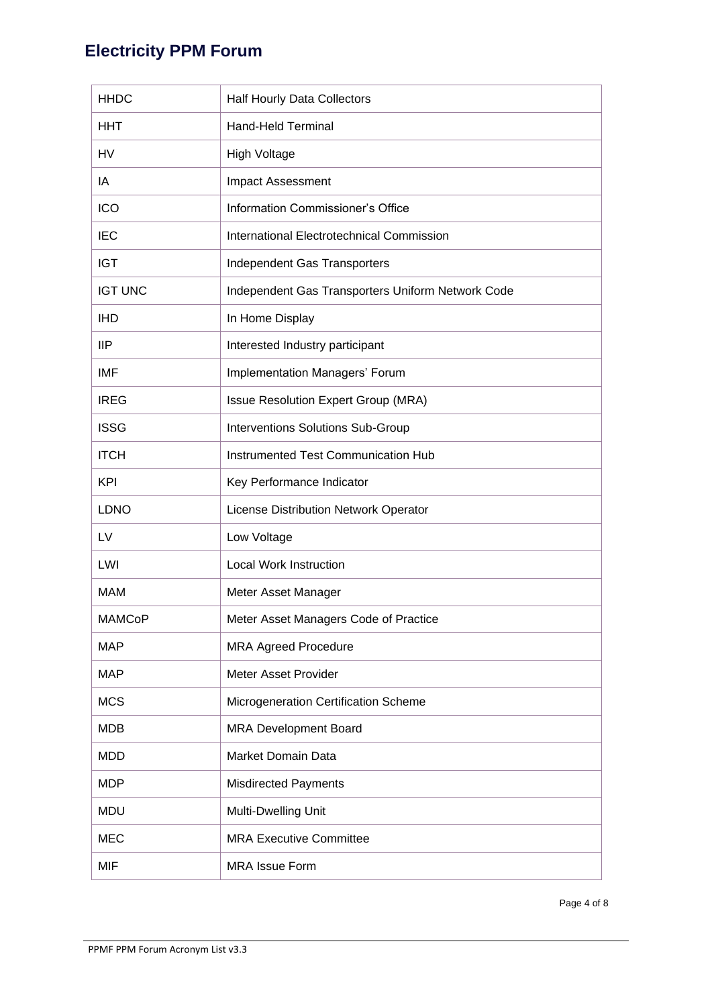| <b>HHDC</b>    | <b>Half Hourly Data Collectors</b>                |
|----------------|---------------------------------------------------|
| HHT            | Hand-Held Terminal                                |
| <b>HV</b>      | <b>High Voltage</b>                               |
| IA             | Impact Assessment                                 |
| <b>ICO</b>     | Information Commissioner's Office                 |
| <b>IEC</b>     | International Electrotechnical Commission         |
| <b>IGT</b>     | Independent Gas Transporters                      |
| <b>IGT UNC</b> | Independent Gas Transporters Uniform Network Code |
| <b>IHD</b>     | In Home Display                                   |
| <b>IIP</b>     | Interested Industry participant                   |
| <b>IMF</b>     | Implementation Managers' Forum                    |
| <b>IREG</b>    | <b>Issue Resolution Expert Group (MRA)</b>        |
| <b>ISSG</b>    | <b>Interventions Solutions Sub-Group</b>          |
| <b>ITCH</b>    | Instrumented Test Communication Hub               |
| <b>KPI</b>     | Key Performance Indicator                         |
| <b>LDNO</b>    | License Distribution Network Operator             |
| LV             | Low Voltage                                       |
| LWI            | <b>Local Work Instruction</b>                     |
| <b>MAM</b>     | Meter Asset Manager                               |
| MAMCoP         | Meter Asset Managers Code of Practice             |
| <b>MAP</b>     | <b>MRA Agreed Procedure</b>                       |
| <b>MAP</b>     | Meter Asset Provider                              |
| <b>MCS</b>     | Microgeneration Certification Scheme              |
| <b>MDB</b>     | <b>MRA Development Board</b>                      |
| <b>MDD</b>     | <b>Market Domain Data</b>                         |
| <b>MDP</b>     | <b>Misdirected Payments</b>                       |
| <b>MDU</b>     | Multi-Dwelling Unit                               |
| <b>MEC</b>     | <b>MRA Executive Committee</b>                    |
| <b>MIF</b>     | <b>MRA Issue Form</b>                             |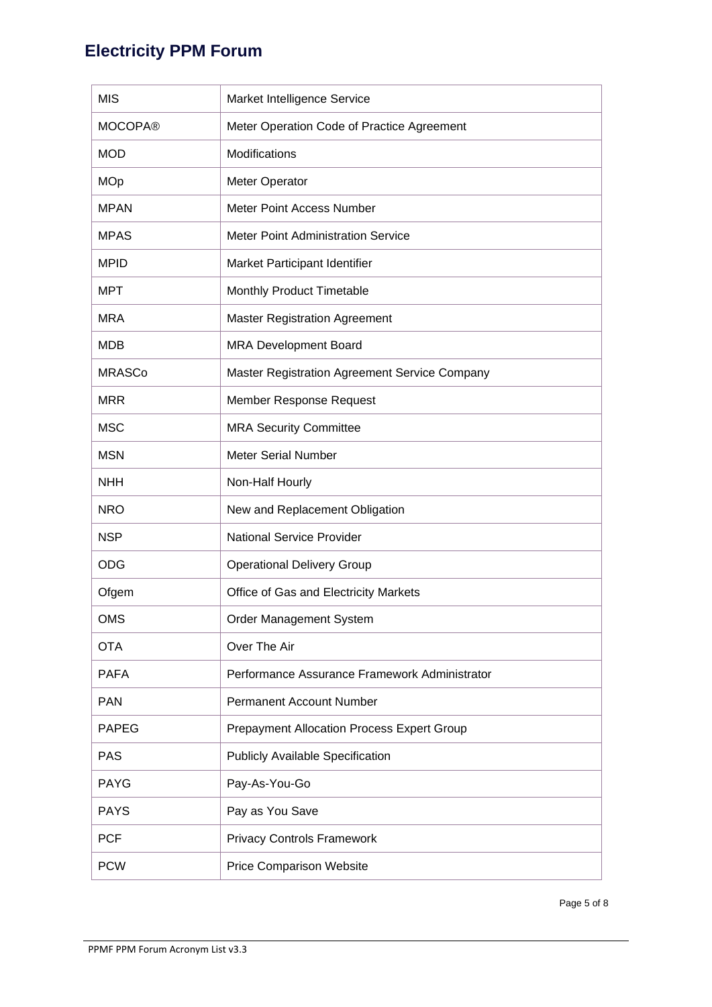| <b>MIS</b>     | Market Intelligence Service                       |
|----------------|---------------------------------------------------|
| <b>MOCOPA®</b> | Meter Operation Code of Practice Agreement        |
| <b>MOD</b>     | Modifications                                     |
| <b>MOp</b>     | Meter Operator                                    |
| <b>MPAN</b>    | Meter Point Access Number                         |
| <b>MPAS</b>    | <b>Meter Point Administration Service</b>         |
| <b>MPID</b>    | Market Participant Identifier                     |
| <b>MPT</b>     | Monthly Product Timetable                         |
| <b>MRA</b>     | <b>Master Registration Agreement</b>              |
| <b>MDB</b>     | <b>MRA Development Board</b>                      |
| <b>MRASCo</b>  | Master Registration Agreement Service Company     |
| <b>MRR</b>     | Member Response Request                           |
| <b>MSC</b>     | <b>MRA Security Committee</b>                     |
| <b>MSN</b>     | <b>Meter Serial Number</b>                        |
| <b>NHH</b>     | Non-Half Hourly                                   |
| <b>NRO</b>     | New and Replacement Obligation                    |
| <b>NSP</b>     | <b>National Service Provider</b>                  |
| <b>ODG</b>     | <b>Operational Delivery Group</b>                 |
| Ofgem          | Office of Gas and Electricity Markets             |
| OMS            | Order Management System                           |
| <b>OTA</b>     | Over The Air                                      |
| <b>PAFA</b>    | Performance Assurance Framework Administrator     |
| <b>PAN</b>     | <b>Permanent Account Number</b>                   |
| <b>PAPEG</b>   | <b>Prepayment Allocation Process Expert Group</b> |
| <b>PAS</b>     | <b>Publicly Available Specification</b>           |
| <b>PAYG</b>    | Pay-As-You-Go                                     |
| <b>PAYS</b>    | Pay as You Save                                   |
| <b>PCF</b>     | <b>Privacy Controls Framework</b>                 |
| <b>PCW</b>     | <b>Price Comparison Website</b>                   |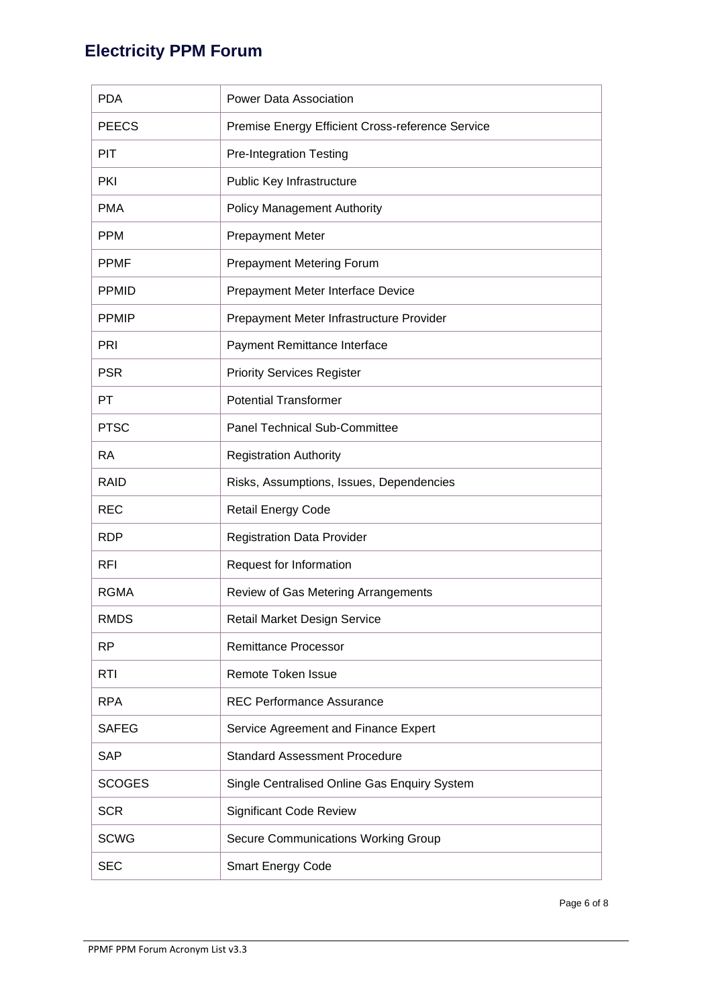| <b>PDA</b>    | <b>Power Data Association</b>                    |
|---------------|--------------------------------------------------|
| <b>PEECS</b>  | Premise Energy Efficient Cross-reference Service |
| PIT           | <b>Pre-Integration Testing</b>                   |
| PKI           | Public Key Infrastructure                        |
| PMA           | <b>Policy Management Authority</b>               |
| <b>PPM</b>    | <b>Prepayment Meter</b>                          |
| <b>PPMF</b>   | Prepayment Metering Forum                        |
| <b>PPMID</b>  | Prepayment Meter Interface Device                |
| <b>PPMIP</b>  | Prepayment Meter Infrastructure Provider         |
| PRI           | Payment Remittance Interface                     |
| <b>PSR</b>    | <b>Priority Services Register</b>                |
| PT            | <b>Potential Transformer</b>                     |
| <b>PTSC</b>   | <b>Panel Technical Sub-Committee</b>             |
| RA            | <b>Registration Authority</b>                    |
| RAID          | Risks, Assumptions, Issues, Dependencies         |
| <b>REC</b>    | Retail Energy Code                               |
| RDP           | <b>Registration Data Provider</b>                |
| RFI           | Request for Information                          |
| <b>RGMA</b>   | Review of Gas Metering Arrangements              |
| RMDS          | Retail Market Design Service                     |
| RP            | <b>Remittance Processor</b>                      |
| RTI           | Remote Token Issue                               |
| <b>RPA</b>    | <b>REC Performance Assurance</b>                 |
| <b>SAFEG</b>  | Service Agreement and Finance Expert             |
| SAP           | <b>Standard Assessment Procedure</b>             |
| <b>SCOGES</b> | Single Centralised Online Gas Enquiry System     |
| <b>SCR</b>    | <b>Significant Code Review</b>                   |
| <b>SCWG</b>   | <b>Secure Communications Working Group</b>       |
| <b>SEC</b>    | <b>Smart Energy Code</b>                         |

Page 6 of 8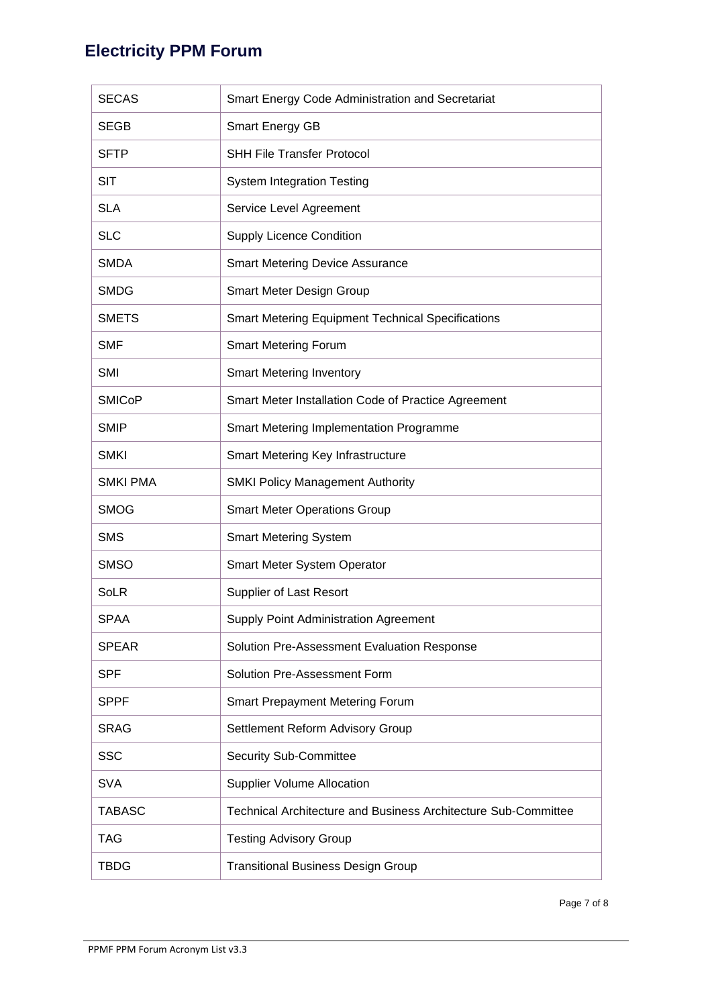| <b>SECAS</b>    | Smart Energy Code Administration and Secretariat                      |
|-----------------|-----------------------------------------------------------------------|
| <b>SEGB</b>     | <b>Smart Energy GB</b>                                                |
| <b>SFTP</b>     | <b>SHH File Transfer Protocol</b>                                     |
| <b>SIT</b>      | <b>System Integration Testing</b>                                     |
| <b>SLA</b>      | Service Level Agreement                                               |
| <b>SLC</b>      | <b>Supply Licence Condition</b>                                       |
| <b>SMDA</b>     | <b>Smart Metering Device Assurance</b>                                |
| <b>SMDG</b>     | Smart Meter Design Group                                              |
| <b>SMETS</b>    | <b>Smart Metering Equipment Technical Specifications</b>              |
| <b>SMF</b>      | <b>Smart Metering Forum</b>                                           |
| <b>SMI</b>      | <b>Smart Metering Inventory</b>                                       |
| <b>SMICoP</b>   | Smart Meter Installation Code of Practice Agreement                   |
| <b>SMIP</b>     | <b>Smart Metering Implementation Programme</b>                        |
| <b>SMKI</b>     | Smart Metering Key Infrastructure                                     |
| <b>SMKI PMA</b> | <b>SMKI Policy Management Authority</b>                               |
| <b>SMOG</b>     | <b>Smart Meter Operations Group</b>                                   |
| <b>SMS</b>      | <b>Smart Metering System</b>                                          |
| <b>SMSO</b>     | Smart Meter System Operator                                           |
| <b>SoLR</b>     | Supplier of Last Resort                                               |
| <b>SPAA</b>     | <b>Supply Point Administration Agreement</b>                          |
| <b>SPEAR</b>    | Solution Pre-Assessment Evaluation Response                           |
| <b>SPF</b>      | Solution Pre-Assessment Form                                          |
| <b>SPPF</b>     | <b>Smart Prepayment Metering Forum</b>                                |
| <b>SRAG</b>     | Settlement Reform Advisory Group                                      |
| <b>SSC</b>      | <b>Security Sub-Committee</b>                                         |
| <b>SVA</b>      | <b>Supplier Volume Allocation</b>                                     |
| <b>TABASC</b>   | <b>Technical Architecture and Business Architecture Sub-Committee</b> |
| <b>TAG</b>      | <b>Testing Advisory Group</b>                                         |
| <b>TBDG</b>     | <b>Transitional Business Design Group</b>                             |